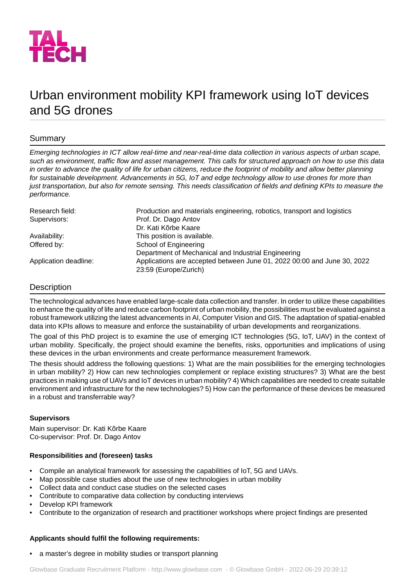

# Urban environment mobility KPI framework using IoT devices and 5G drones

# Summary

Emerging technologies in ICT allow real-time and near-real-time data collection in various aspects of urban scape, *such as environment, traffic flow and asset management. This calls for structured approach on how to use this data in order to advance the quality of life for urban citizens, reduce the footprint of mobility and allow better planning for sustainable development. Advancements in 5G, IoT and edge technology allow to use drones for more than just transportation, but also for remote sensing. This needs classification of fields and defining KPIs to measure the performance.*

| Research field:       | Production and materials engineering, robotics, transport and logistics |
|-----------------------|-------------------------------------------------------------------------|
| Supervisors:          | Prof. Dr. Dago Antov                                                    |
|                       | Dr. Kati Kõrbe Kaare                                                    |
| Availability:         | This position is available.                                             |
| Offered by:           | School of Engineering                                                   |
|                       | Department of Mechanical and Industrial Engineering                     |
| Application deadline: | Applications are accepted between June 01, 2022 00:00 and June 30, 2022 |
|                       | 23:59 (Europe/Zurich)                                                   |

# Description

The technological advances have enabled large-scale data collection and transfer. In order to utilize these capabilities to enhance the quality of life and reduce carbon footprint of urban mobility, the possibilities must be evaluated against a robust framework utilizing the latest advancements in AI, Computer Vision and GIS. The adaptation of spatial-enabled data into KPIs allows to measure and enforce the sustainability of urban developments and reorganizations.

The goal of this PhD project is to examine the use of emerging ICT technologies (5G, IoT, UAV) in the context of urban mobility. Specifically, the project should examine the benefits, risks, opportunities and implications of using these devices in the urban environments and create performance measurement framework.

The thesis should address the following questions: 1) What are the main possibilities for the emerging technologies in urban mobility? 2) How can new technologies complement or replace existing structures? 3) What are the best practices in making use of UAVs and IoT devices in urban mobility? 4) Which capabilities are needed to create suitable environment and infrastructure for the new technologies? 5) How can the performance of these devices be measured in a robust and transferrable way?

#### **Supervisors**

Main supervisor: Dr. Kati Kõrbe Kaare Co-supervisor: Prof. Dr. Dago Antov

## **Responsibilities and (foreseen) tasks**

- Compile an analytical framework for assessing the capabilities of IoT, 5G and UAVs.
- Map possible case studies about the use of new technologies in urban mobility
- Collect data and conduct case studies on the selected cases
- Contribute to comparative data collection by conducting interviews
- Develop KPI framework
- Contribute to the organization of research and practitioner workshops where project findings are presented

## **Applicants should fulfil the following requirements:**

• a master's degree in mobility studies or transport planning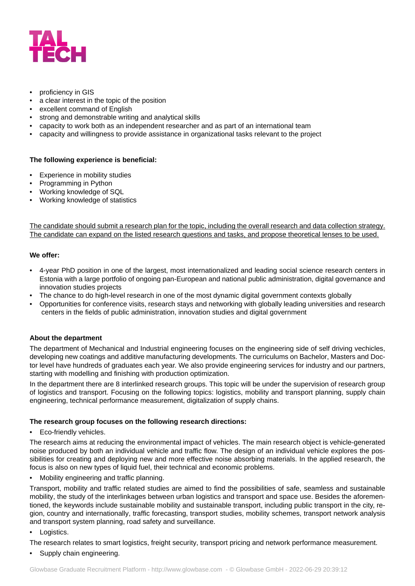

- proficiency in GIS
- a clear interest in the topic of the position
- excellent command of English
- strong and demonstrable writing and analytical skills
- capacity to work both as an independent researcher and as part of an international team
- capacity and willingness to provide assistance in organizational tasks relevant to the project

#### **The following experience is beneficial:**

- Experience in mobility studies
- Programming in Python
- Working knowledge of SQL
- Working knowledge of statistics

The candidate should submit a research plan for the topic, including the overall research and data collection strategy. The candidate can expand on the listed research questions and tasks, and propose theoretical lenses to be used.

## **We offer:**

- 4-year PhD position in one of the largest, most internationalized and leading social science research centers in Estonia with a large portfolio of ongoing pan-European and national public administration, digital governance and innovation studies projects
- The chance to do high-level research in one of the most dynamic digital government contexts globally
- Opportunities for conference visits, research stays and networking with globally leading universities and research centers in the fields of public administration, innovation studies and digital government

#### **About the department**

The department of Mechanical and Industrial engineering focuses on the engineering side of self driving vechicles, developing new coatings and additive manufacturing developments. The curriculums on Bachelor, Masters and Doctor level have hundreds of graduates each year. We also provide engineering services for industry and our partners, starting with modelling and finishing with production optimization.

In the department there are 8 interlinked research groups. This topic will be under the supervision of research group of logistics and transport. Focusing on the following topics: logistics, mobility and transport planning, supply chain engineering, technical performance measurement, digitalization of supply chains.

#### **The research group focuses on the following research directions:**

• Eco-friendly vehicles.

The research aims at reducing the environmental impact of vehicles. The main research object is vehicle-generated noise produced by both an individual vehicle and traffic flow. The design of an individual vehicle explores the possibilities for creating and deploying new and more effective noise absorbing materials. In the applied research, the focus is also on new types of liquid fuel, their technical and economic problems.

• Mobility engineering and traffic planning.

Transport, mobility and traffic related studies are aimed to find the possibilities of safe, seamless and sustainable mobility, the study of the interlinkages between urban logistics and transport and space use. Besides the aforementioned, the keywords include sustainable mobility and sustainable transport, including public transport in the city, region, country and internationally, traffic forecasting, transport studies, mobility schemes, transport network analysis and transport system planning, road safety and surveillance.

Logistics.

The research relates to smart logistics, freight security, transport pricing and network performance measurement.

Supply chain engineering.